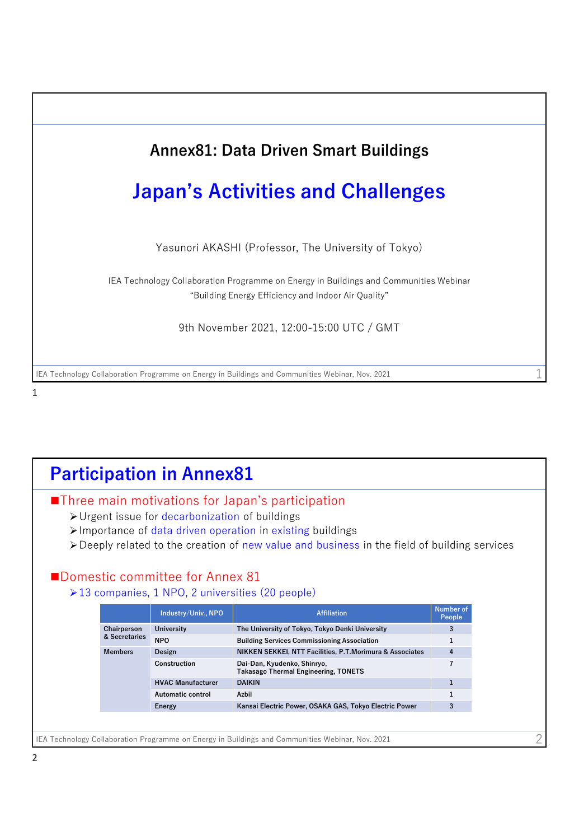

## 1

## IEA Technology Collaboration Programme on Energy in Buildings and Communities Webinar, Nov. 2021 **Participation in Annex81** ■Three main motivations for Japan's participation ➢Urgent issue for decarbonization of buildings ➢Importance of data driven operation in existing buildings ➢Deeply related to the creation of new value and business in the field of building services ■Domestic committee for Annex 81 ➢13 companies, 1 NPO, 2 universities (20 people) 2 **Industry/Univ., NPO Affiliation Affiliation Affiliation Number of Number of Peop Chairperson & Secretaries University The University of Tokyo, Tokyo Denki University 3 NPO Building Services Commissioning Association 1 Members Design NIKKEN SEKKEI, NTT Facilities, P.T.Morimura & Associates 4 Construction Dai-Dan, Kyudenko, Shinryo, Takasago Thermal Engineering, TONETS 7 HVAC Manufacturer DAIKIN 1 Automatic control Azbil 1 Energy Kansai Electric Power, OSAKA GAS, Tokyo Electric Power 3**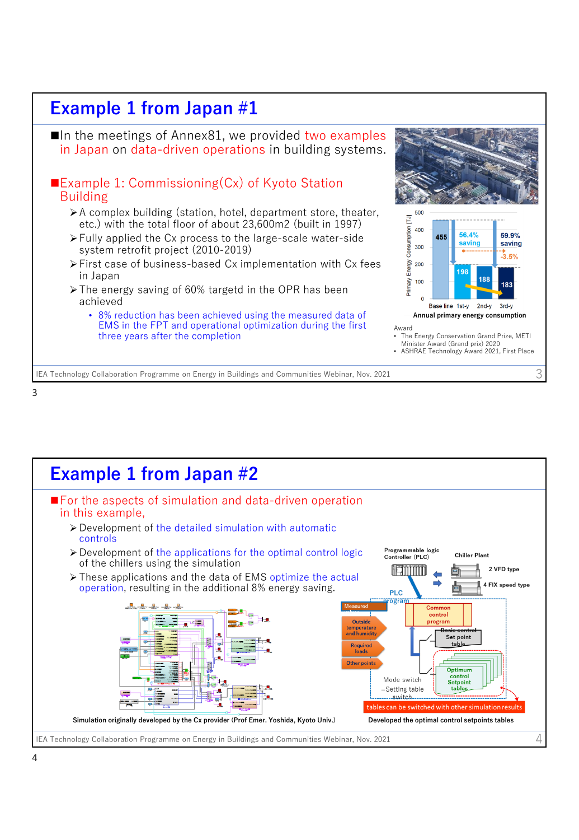

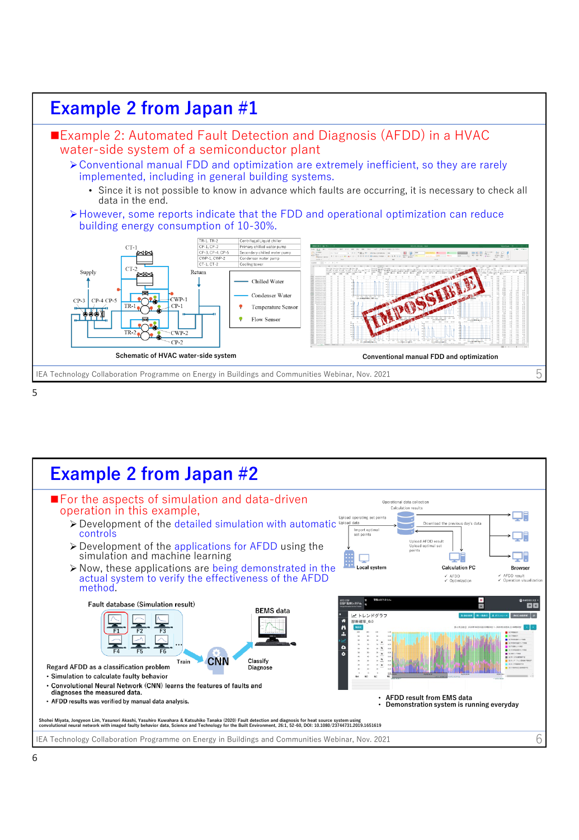

5